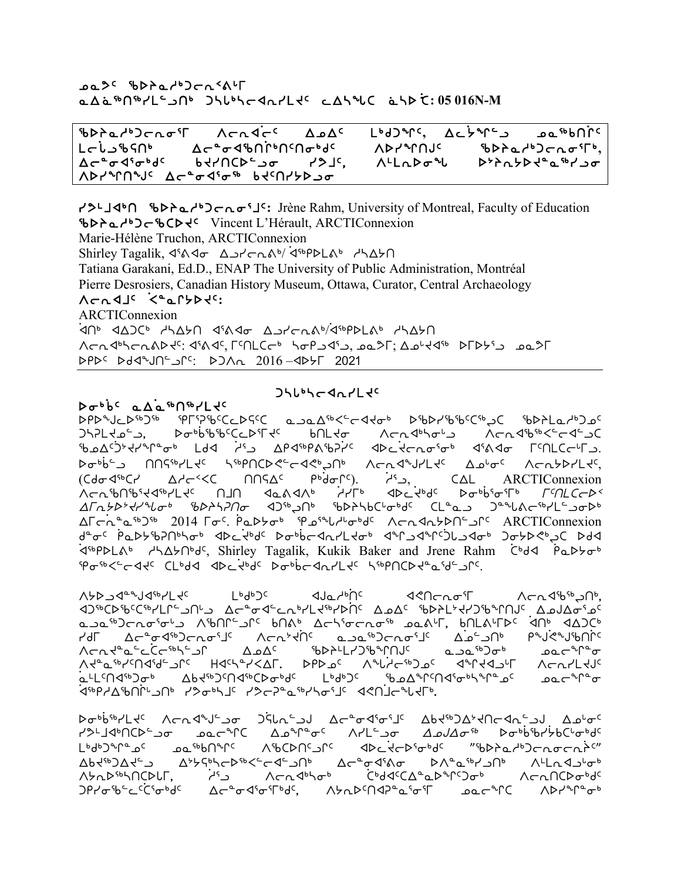#### kNK5 cspNh4goE2F[u Nw`N6t6ym9lt4 gnZ4noxEymJ5 Mwnzb `Nns``]b**: 05 016N-M**

cspNh4goEi3u WoEx]o5 wkw5 m4fgq5**,** wM]/q9l kN6vt]Q5 Lc<sup>i</sup>La\$SN° ለc°ơ4\$NՐ°NG ላይ ለእየግበሀና \$እእስታእናተውነር»,<br>Lc<sup>i</sup>o4°ơ4' bd/NCD°גס לאלי ለלומאס״ אידולאל״ביטר wo8ix3i4f5 vJytbs9li yKj5, W7mEsiz s0pE/sJ8N6yli Wayan waa<sup>ad</sup>ad<sup>a bad</sup>ay workh

yK7jx4t cspNh4goEi3j5**:** Jrène Rahm, University of Montreal, Faculty of Education cspNh4gocbsJ5 Vincent L'Hérault, ARCTIConnexion Marie-Hélène Truchon, ARCTIConnexion Shirley Tagalik, 4804 And Alendary 48PDLAb HASA Tatiana Garakani, Ed.D., ENAP The University of Public Administration, Montréal Pierre Desrosiers, Canadian History Museum, Ottawa, Curator, Central Archaeology WoExj5 ]X8NQ/sJ5**:** ARCTIConnexion .<br>לח<sup>6</sup> לשלא לאבאר ליגל<del>ס</del> באלכהג*לילי* 144 לאפור של AGA GUS-SAPHE: diadi, Finl(Gustafi), wali, Alikati DTDYS wali srs5 sfxat9lQ5: sgWE 2016 –xs/u @)@!

#### babbc aAa<sup>sh</sup>n<sup>sp</sup>Ltc

## $J5L^b5C$ da $rLc$

SPDC 6b7FLaddo euCd5C6 codd46 cc+b7-b6C6b7c6b7c6b7c6b7c6b7c6b7c6  $DhPL$ לפית, שפאטאניכבליךלי בארגליאסים מרת לווחדור של הרוכלים כל הסיים כל הסיים כל הסיים כל הסיים כל הסיים כל הס ckw5]g0Jyq8i4 mfx ]h3l wrx6rFcD]y5 xsM]JoEi3i4 x3Fxi u5tmbo[ul.  $\sigma_{\rm ph}$ الا $\sigma_{\rm ph}$ 7 - مارم $\sigma_{\rm ch}$  ncc and  $\sigma_{\rm ch}$  we cannot with  $\sigma_{\rm ch}$ (bfix6by who2Xb ttCw5 r4]fiQ5). ]h3l, bwm ARCTIConnexion Xcn የሀገራ የተመለል አስተማ አስተማ አስተማ አስተማ አስተማ አስተማ ምሳሌ የሚሰራት አስተማል አስተማል አስተማል አስተማል አስተማል አስተማል አስተማል አስተማል አስተማል አ wuE/s0Jyzi4 cspnDti xg6Lt4 cspnvb[i4f5 bm8Nl g8zFo6ym9lis4 wuo]E8N6g6 2014 ui5. ]rNs/i4 ek3zh[i4f5 WoExE/st9lQ5 ARCTIConnexion t<sup>a</sup>d is an indicided which the bott controls the controllation of the controllation of the distribution of the 3<sup>6</sup>PDLA<sup>6</sup> HASh<sup>o</sup>d<sup>c</sup>, Shirley Tagalik, Kukik Baker and Jrene Rahm C<sup>6</sup>dd PaDbo<sup>6</sup> ei6X9-44c CLbda abcitbdc bobbcanrLtc huppOCDtacide

what are the total matchest which the sensor which the sensor which the sole of the sole of the sole of the sole  $\Delta t$ of cycespectycle work work work work and cospective controls cold cost of costand costal data contro NlN6goEi3i[l WctQ9lQ5 vtF4 won3ioEi6 kNF[u, vtmF[us5 ]xt4 xwgb4 שרהל βהליפ<sup>יב</sup>לכר<sup>ינ</sup>ולי Al<sup>2</sup> שלאפי (Al<sup>3</sup>and<sup>a)</sup> שלאריקליליליטן<br>ל Al<sup>3</sup> מרלייטן Al<sup>3</sup> Al<sup>3</sup> וואס משליך מאפיליליג מאפיליליליליטן لاد الحريم الكامكر من الكامك المحمر الكامك المعاملة المعاملة المعاملة المعاملة المحمر المعاملة الكام<br>المحمد المحمد المحمد المحمد المحمد المحمد المحمد المحمد المحمد المحمد المحمد المحمد المحمد المحمد المحمد المحم  $\forall$ ና $\sigma$ ምሪ የአገር አንባር በተፈረንተኛን አንባር አንባርት ለማርነው የአገር ላይ ላይ አባር Work And Work And Work Work Work Was work .<br>مدار المسابق المسلمة المسابق المسلمة المسابق المسابق المسابق المسابق المسابق المسابق المسابق المسابق المسابق ا לי<sup>נ</sup>4 מילוב של האפילןכ ל¢כל<sup></sup> נילד שלח]ר≁ללף.

pa،b6%YLt<sup>c</sup> Achd<sup>a</sup>J-ه ك(لمكان) Ac<sup>a</sup>6d6%J<sup>c</sup> Abt%كلابحامكم هوله yXLJdةACDمon مور<sup>م10</sup>C Aم<sup>م مه</sup>مدا محافظه من المعاملة المعاملة المعاملة المعاملة المعاملة المعاملة المعاملة الم m4gd3ch3c4 kN6Cbnc3lc dDcdd5lq5 wibp4ad6 wibb4ach3cm Abd<sup>46</sup>)Ad<sup>c\_</sup>ك A<sup>ب</sup>לאר A<sup>66</sup>Cd שליר Ac-°<del>c</del>d Wada An<sup>a</sup> Allad Afo<sup>6</sup><br>Abd<sup>66</sup>NACDLF And Accade Ana C  $\dot{A}^{4}$ لواحد ) Acndbhoth ( $\dot{A}^{4}$ anian Chandbothoth ) and  $\dot{A}^{4}$ ጋየሃԺ'ቴ└՟ር<sup>ና</sup>ው'd<sup>c</sup> Δሮ<sup></sup>ឹԺզ٬ማርተውያና ለአለእርሳብን°ፊՙσՙΓ ወዉሮ<sup>ሗ</sup>Րር ለϷሃ<sup>ℷ</sup>∿Ր°σ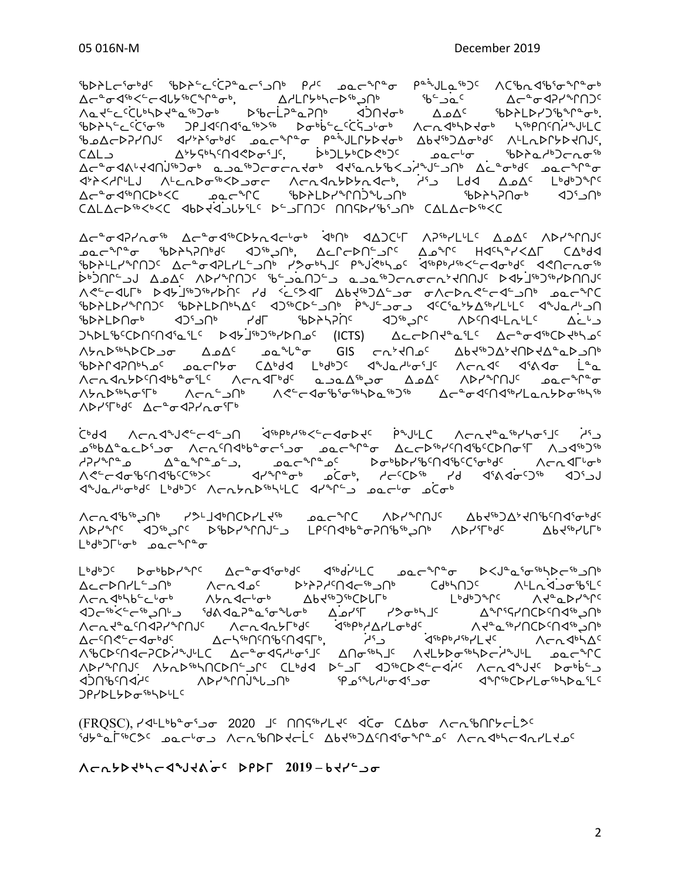## 

(FROSC) P44Lbbcs-2020 JS NOSb2Lts dco CAbo Acaponscless **SUP a THORY DECTORY ACTIONALLY ANTHON COLL CONDUCTS** 

᠘ᡄᡄ᠊ᢂ᠋ᡙ᠘ᢩ᠄ᠴ᠐᠂᠂᠂᠂᠂᠂᠂᠂᠂᠂᠂᠂᠂᠂᠂᠂᠂᠂᠂<br>᠘ᡄᡄᢂᠾᢞ᠘ᠳ᠉᠂᠃᠃᠂᠂᠂᠂᠂᠂᠂᠂᠂᠂᠂᠂᠂᠂᠂᠂᠂᠂᠂᠂᠂᠂᠂᠂᠂<br>᠘ᡄᡄᢂᠾᢞ᠘ᠪ ᠕᠆ᡄ᠉ᢩᠵᢄ᠆᠄ᡎᠫᠬᡗᡆ᠑᠂᠂᠐ᢂ᠀᠆᠄᠈ᠻ᠅ᢣᡳᢄᠾ᠈᠂᠀ᢥ᠀ᠾ᠈᠂᠀ᢥ᠀᠆᠀ᢣ᠀ᢥ<br>ᡕ᠆᠘ᢞᢎᢄ᠆ᠻᢥᡩᢄ᠇᠗ᡁ᠑᠂᠂᠐᠕᠀᠖᠆᠈᠙᠕᠗᠀ᢞ᠖ᢣ᠘᠂᠈᠐ᡕ᠈ᡤ᠆᠀ᢆᢣ᠘᠆᠂᠈ᡫ᠓ᡤ᠙ᡅ᠒ᠻ᠅ᡗᡳ᠘ᡗ ᠕ᡃ᠍ᡃᢐᢗᢂ᠋ᡕᢇ᠙᠘ᢣ᠗ᢣᠾ᠘ᢅ᠂᠘ᡕ᠆᠗᠂᠕ᡕᡅᢂᠾ᠅ᢆ᠕ᡊᡉ᠅ᢂ᠘ᡫ᠈ᠪᡉ᠅ᢥ᠕ᢣ᠘᠃᠗᠖ᡄ ᠌ᡆᡠᡋᡳ᠘ᠳ᠈ᢣᠾᢂᢣᡊᡰᢂᢣᡗᢄ᠊᠐ᡫ᠉ᠲ᠑ᢞᡃᢗᢂ᠗ᢞ᠐ᢞᠲᢂᢣᠾ᠉ᠲ᠀ᢞᠾᡗᢣ᠙᠊ᠾ᠗ᢞ᠈ᢣᡗ᠓ᢝ᠈ᢉ᠓ᢞᢣ᠓<br>᠀ᠿᢝ᠓ᢞ᠂ᡗᢣ᠕ᢣ᠗᠅᠀ᢞ᠉᠓ᢣᠾ᠓ᢞᠾ᠘ᢞᢀᠰ᠕ᢣ᠈ᡒᠾ᠂᠈ᢔ᠒ᢣ᠅᠕ᡔ᠓ᢣᠰ᠓ᠱ **JPPDI SDGSSDDUC** 

Yauqapa<sup>s</sup>Up Yar14pUCDSL4a Poc<sub>c</sub>rC VDScLUNc VP4apJQs4UpeUqeQq ᠕ᢂ᠕᠕ᢂ᠕᠉᠂᠀ᢀ᠊ᢇᠶ᠅᠕᠅᠕᠅᠕᠅᠕ᢀ᠕᠅᠀ᠰ᠙᠈ᠻ᠂ᡗ᠕ᡤ᠙ᡭᠻ᠂᠕᠉ᠰᡪᡏᡕᢥ᠂᠕᠉ᠰᡪᡐ᠕ᡭ L<sup>b</sup>d<sup>b</sup>) $\Gamma^{\iota} \sigma^{\iota}$  par<sup>e</sup>r<sup>e</sup>o

<u>
</u> *ב*יּל A-הל<sup>ת</sup>ּעליל<sup>ב</sup> הליבון ל<sup>קו</sup>וויוליס לייב לתלומות היו לייב האליכון היו לייב לייב לייב לייב לייב לייב לייב ᠊ᢩᠣ<sup>᠋ᡐ</sup>ᡃᠦ᠘<sup>ᡐ</sup>ᡆᡄᡅ᠈ᢖᡉᢇᢧᡳ᠌᠘ᡕ᠘ᠢ᠖ᢣ᠑ᢞᢇᠳ᠅ᡉ᠂᠗᠘ᠸᢇ᠑᠊ᠰ᠘ᠳ᠙ᠾ᠘ᠾᠾᠾᡈ᠈ᡗᡆ᠐ᢞᠾ ᠰ᠀ᢣᠰᠾ᠂᠗᠆ᢐ᠖᠂᠂᠂᠂᠂᠂᠂᠂᠂᠂᠀᠆᠈᠂᠂᠀᠆᠈ᡴ᠅᠀᠀᠀᠂᠀<br>᠕ᡧᢄᢣ᠀ᢥᠾ᠗᠅᠀᠐᠅᠀ᢉ᠅᠀᠐᠅᠀ᠱ᠐ᢣ᠙ᡕᠾ᠅᠀ᢜ᠐ᢣ᠀ᡁ᠅᠀ᡮ᠈᠀ᠻᢄᡗᡳ᠉᠅᠀᠅᠀᠅᠀᠅᠀ *SAJQYPQqCLP9p)*C VCVZVbpp/p/C SLALC 37000 DOCpp DCQpp

Δσ<sup>α</sup>σ42Υασε Δσ<sup>α</sup>σ4εΟλασφορ άρης αδοςη Αρεγιής Δοδς Αργερης <sup>2</sup>טרת ב-2014 היאראינישן של האדיס ה-2012 היה ה-2013 ה-2014 ה-2016 ᠬᢞ᠆ᡕᢦᡅᠮ᠉᠂ᢣᢦᡰ᠑ᡏᢣ᠑ᡏᢣᢂ᠂᠂ᢠᢄᡔᢦᡁ᠂᠘ᠪᢋᡃ᠉᠑᠘᠆ᠣᢁ᠂ᢦ᠕ᡕ᠊ᢂ᠂᠕ᡔᢄᢣᢂᠾ᠉ᡉᡄᢞ᠒<br>ᡢᡔᢄ᠇ᢦᡌᢪ᠉᠗᠘ᢞ᠈᠉᠕ᢣᡌᡷᢂ᠂᠀᠅ᢄᠻᡷᢂᡏ᠗ᠪᢋᡃ᠉ᡗᡄ᠍ᠫᢍᡱᠴᠥ᠂᠀ᠺᠬᢂ᠅᠕ᢣᢂᢣᡀ᠉ ᡃᡋᢂᢂ᠕ᠣ᠙᠕ᡆ᠑᠂᠕ᡛ᠌᠂ᠾ᠅᠕ᡦ᠂᠂᠕ᠪᠻᡪᡏᡪᡘᢥ᠂᠂᠀ᠾ᠅᠕᠔᠅᠘᠅᠘᠅ ϽϞϷͰʹჼͼϹϷͶͼͶϤͼͳϾͺͺͺϷϤϞʹͿͼϧͻͼϞϷͶϿͼͺͺʹʹʹͶϹͳϨʹͺͺͺϓϘϹϹϷͶϤͼϭͳϹͺͺϓϹϧͼϤͼϾϷϤͼϹϒϧϻϽͼ **BDACAPUPS 20 ACCLA CAPAS LPAPIC SALALAR CALICAR CARS LAO ለ**৮n**D**<sup>ና</sup>ኮ\σ՟ի ለመገኘው ለሮትመልክ ለማግኘት ለመግኘት ለመግኘት ለማግኘት ለመግኘት **ADYSF<sup>bdc</sup> Ac<sup>a</sup>o<PYAoSFb** 

ᡃᢐᢂᢣ᠘ᡕ᠌ᡩᠣᡃᢐ᠋ᡰᢄ᠂ᡏ᠕ᢣᠲᢄᡄᢗᡬᢄᡨᢐᡄ᠆ᡗᠴ᠓᠂ᠾ᠘᠂᠗ᡆᡄ᠊ᢞ᠋ᡗ᠊ᢐ᠂᠂ᠾᡱ᠕᠘ᢋ᠅᠑ᠻ᠂᠕ᢗᠻᡃᡨ᠕ᡩ᠖ᢜᠾᢁᢐ ᠍<br>᠘ᡕ᠆ᢆᠣ᠊ᡏ᠋ᡃᢛᢅᠸ᠆ᢆᡕ᠆ᡆᠾᢣᢅᡃᢛᢕᠾ᠆ᢆ᠂᠆ᢅ᠆ᢅ᠆ᢅ᠘ᢣ᠋᠘ᡗᡰᢣᡃᠠᠢᡊᢂᡑᢣᢕᡰ᠌᠉᠂᠄ᡖ᠆ᢆᡠᢈ᠖᠂᠘ᡕ᠆ᢜᠣ᠙ᡳᠰ᠓ᢗ<br>᠕᠍᠋ᡆ᠂ᡕᡄᢅᢈᢗᡶ᠉ᡃᡪᢂᢅ᠘ᠳ᠅᠆ᢅ᠂᠆ᢅ᠆᠆ᢅ᠕ᢣ᠘ᡗᡰᢣ᠉ᢣᡳᡄᢂ᠅ᠪ ᠄ᡃ᠖ᢂᢣᠲᢄᡔᢗᢆᡏᢎ᠉ᢆ᠆᠘᠂ᡗᡆ᠙᠓ᡧ᠖᠄᠉ᡔ᠄ᢆᡉᢀᡃ᠖᠆᠘ᢐ᠖᠘᠂᠕ᠸ᠘᠂ᡇᢂᢣᢂᢐ᠉᠂ᢉᢍᢆᡳᢄ᠆ᢄᢗᢆᠻ᠅ᢆᠣ᠅᠆ᢅ ᡃ᠍᠍᠍᠊ᢐ᠘ᡕ᠆ᢂ᠘ᢣ᠘ᡆ᠅᠕ᢣᢣ᠙ᡆᢀ᠂᠖ᠴ᠖᠆ᡁ᠆ᠾ᠅ᢐ᠆᠀ᠰᢀ᠂᠐ᡰᡪ᠙ᢣ᠑᠘ᢐᢂᠻ᠂᠕᠘ᡕᡗᢂᠾ᠀  $CAL \rightarrow$ ᠘ᡕ᠋᠌᠌ᡱ᠊ᡉᡏ᠕ᢣᡇᢂ᠘ᠾ᠈᠖ᠴ᠖ᢧ᠖ᡓ᠖ᡓᡉᢄᡆ᠆᠂ᡘᢦᡃ᠗᠂ᡗᢋ᠅᠋ᢍ᠘ᢞᢧᡬ᠂᠘ᢞᠾ᠆᠑᠓ᢀ᠂᠘ᡬ᠆ᡑ᠖ ᡕᡏ᠆ᢆᢣᢂᢣᡏᡏᡏᡏᡏᡏᡏᡏᡏᡏᡏᡏᡏᡏᡏᡏᡏᡏᡏᡏᡏᡏᡏᡏᡏᡏᡏᡏ<br>᠘ᡕ᠆ᡆᡏ᠉᠓ᡔᡗ᠗ᡁ᠆ᠾᢂᡁ᠐ᢣ᠘ᢣ᠕ᢣᢄᢣ᠕ᡔᡗᢥ<br>᠕ᠸ᠆ᡏ᠉᠗ᠻ᠅᠓ᢣ᠑ᢉ᠅᠓ᢣ᠓ᢣ᠒ᠢ᠉ᠻ᠓᠅ᢔ᠗ᢣᠾ CALACDSOC <BD<<GLACD{LCD}}CALACD{P}}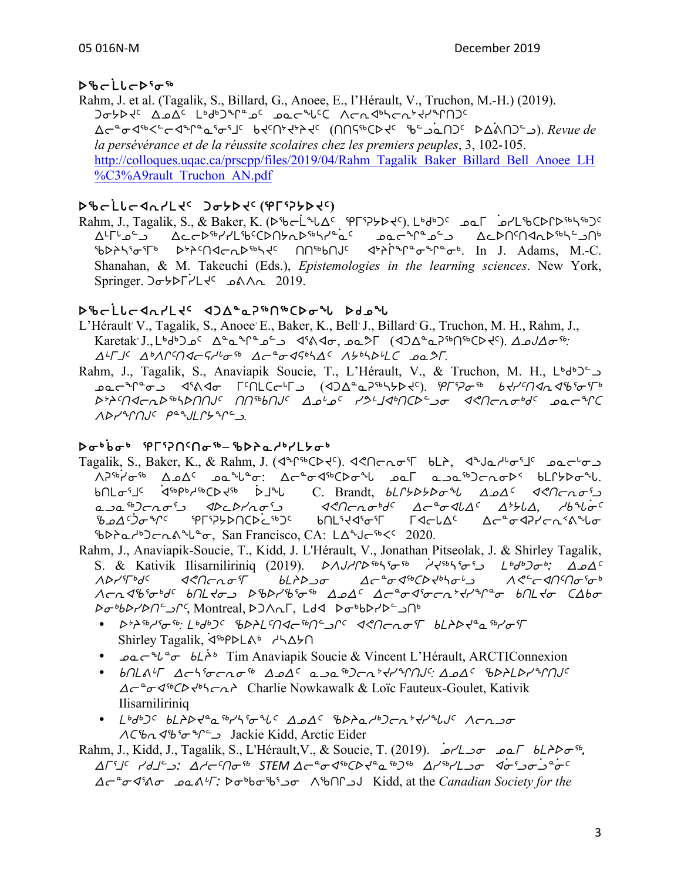# b%cLlcDso<sup>%</sup>

Rahm, J. et al. (Tagalik, S., Billard, G., Anoee, E., l'Hérault, V., Truchon, M.-H.) (2019).  $\sigma$ ללכון בעשל נולקיטירים הסיכרון מריים מאליכי אריים אלי  $\Delta$ ←Ê d<sup>46</sup><<⊢d<sup>a</sup>n<sup>®</sup>d is been been (nother below). Revue de *la persévérance et de la réussite scolaires chez les premiers peuples*, 3, 102-105. http://colloques.uqac.ca/prscpp/files/2019/04/Rahm\_Tagalik\_Baker\_Billard\_Bell\_Anoee\_LH %C3%A9rault\_Truchon\_AN.pdf

# b%cLLc4n1Ltc Jo5btc(Prip5btc)

Rahm, J., Tagalik, S., & Baker, K. (sco]mzw5 eu3D/sJ5). m4f4g5 kNu ]kymcbsQs6n6g5 ward ware water water water water water was a c<sup>o</sup> %DASSoFb DPACOGESARE ON<sup>66</sup>bOUS SPACAFO-Capped In J. Adams, M.-C. Shanahan, & M. Takeuchi (Eds.), *Epistemologies in the learning sciences*. New York, Springer. gi/su]ymJ5 kFWE 2019.

## bዄcLlcଏռ/Lt⊂ ∢ጋ∆≞ჲዖ™Ո®CDσ私 Ddoฟ

- L'Hérault V., Tagalik, S., Anoee, E., Baker, K., Bell, J., Billard, G., Truchon, M. H., Rahm, J., Karetak<sup>,</sup> J., L<sup>6</sup>d<sup>6</sup>D <sub>2</sub><sup>c</sup> Δ<sup>α</sup>α<sup>φ</sup><sup>α</sup><sub>2</sub><sup>5</sup>, Δ<sup>α</sup>α<sup>56</sup>: Δ*αλ*<sub>2</sub><sup>6</sup>: Δ*αλ*<sub>2</sub><sup>6</sup>: Δ<sup>L</sup>ΓJ<sup>c</sup> Δ<sup>b</sup>ΛΓM<Γ<Γ<sup>16</sup> ω<sub>σε</sub> Δσ<sup>2</sup>σ<Γ<sup>4</sup>ο<sup>4</sup> Δε<sup>ρ</sup> Λε<sup>ρι</sup>λβίι ωδε
- Rahm, J., Tagalik, S., Anaviapik Soucie, T., L'Hérault, V., & Truchon, M. H.,  $L^6d^62^6$ **sac<sup>h</sup>L**es dival LiUCGLD (d) and the white was appeared to the control of the control of the control of the con s0p5txoEs6nsttA5 tt6vtA5 wk[k5 yK7jx4tbs9li x?toEi4f5 kNoqb WsyqtA5 r8amQ/q9l*.*

# si4]vi4 eu3Dt5ti6**–** cspNh4ym/i4

- Tagalik, S., Baker, K., & Rahm, J. (<notion). <<notion=1</a>ToEi3u various- $\Lambda$  $^{56}$  $^{1}$  $\sigma$ <sup>56</sup>  $\Delta$ ه $\Delta$ <sup>c</sup> مع $^{9}$ ل $\sigma$  ( $\Delta$  $\sigma$  $^{9}$   $\sigma$   $\Lambda$   $\sigma$  $^{10}$   $\sigma$  $\sigma$  $\sigma$  $\Lambda$ ) ( $\Delta$  $\sigma$  $\sigma$  $\sigma$  $\Lambda$ ) ( $\Delta$  $\sigma$  $\sigma$  $\sigma$  $\Lambda$ ) ( $\Delta$  $\sigma$  $\sigma$  $\Lambda$ ) ( $\Delta$  $\sigma$  $\sigma$  $\Lambda$ ) ( $\Delta$  $\sigma$  $\Lambda$ ) ( $\Delta$  $\sigma$  $\Lambda$ ) ( $\$  $b \cap L \sigma$ <sup>5</sup>  $j \in \mathcal{A}$ sbpb<sub>c</sub>15b  $a \in \mathcal{A}$  and  $c$ . Brandt,  $b \mathcal{L}$  becase  $a \in \mathcal{A}$ s and  $a \in \mathcal{A}$ NlN6goEi3l xsMsyEi3l x?toEi4f5 wo8ixZw5 w0/Zw, hvz]i5 beds of the serve of the cost of the cost of the cost of the cost of the cost of the cost of the cost of the c 5b>2db) cn λ<sup>2</sup>b<sup>2</sup>σ, San Francisco, CA: LΔ<sup>2</sup>J c<sup>5b</sup> <<sup>c</sup> 2020.
- Rahm, J., Anaviapik-Soucie, T., Kidd, J. L'Hérault, V., Jonathan Pitseolak, J. & Shirley Tagalik, S. & Kativik Ilisarniliriniq (2019).  $\Delta \Delta f/\Delta f$   $\Delta \Delta f$  is ideal is in the  $\Delta \Delta f$  $\Lambda$ Dr' $T$ bd $\zeta$  as $\Lambda$ cho $\sigma$  $\tau$  bl $\Lambda$ D $\sigma$   $\Delta$   $\Delta$ c $\zeta$ a $\tau$ b $\Delta$ Λση Δ<sup>6</sup>ίσ<sup>υ</sup> 60 Κου βίλλι<sup>σ</sup>ίσ<sup>το</sup> ΔοΔ<sup>ς</sup> Δσ<sup>α</sup>σ Δίστη <sup>γ</sup>τιλι<sup>α</sup>σ υΠ το ΣΔύσ si4vsyst9lQ5, Montreal, sgWEu, mfx si4vsys9lt4
	- Bth36b16<sup>-56</sup>: Lbdb)<sup>c</sup> SBALSNA-sbN<sup>c</sup> and acn-nof bLADd<sup>a</sup>ash/of Shirley Tagalik, <br />  $\forall A$ bharka handa harka hasalah
	- $\Delta a e^{-\gamma} \delta \sigma b L^{\lambda b}$  Tim Anaviapik Soucie & Vincent L'Hérault, ARCTIConnexion
	- bnLat Achi Tangi Apac ana<sup>sb</sup>ocate the Music Spelby and C  $\Delta \subset \sigma^2 \sigma$   $\langle 5 \rangle$   $\subset \sim \sim$  Charlie Nowkawalk & Loïc Fauteux-Goulet, Kativik Ilisarniliriniq
	- Lbdb)< bLAD<4a4bd5 and<br/>G and<br/>C and the Lbdb)<br/>C acapt  $ACb \sim 4b$ <sup>6</sup> $\sim$ <sup>2</sup> $\sim$  Jackie Kidd, Arctic Eider

Rahm, J., Kidd, J., Tagalik, S., L'Hérault, V., & Soucie, T. (2019).  $\sigma$  $\sim$   $\sigma$  $\sim$  $\sigma$  $\sim$   $\sigma$  $\sim$   $\sigma$  $\sim$   $\sigma$  $\sim$   $\sigma$  $\sim$   $\sigma$  $\Delta$ <sup>r</sup>j /dj j:  $\Delta$ /cMo<sup>6</sup> STEM  $\Delta$ c  $\sigma$   $\sigma$ <sup>66</sup>  $C$ b  $\sigma$   $\sigma$ <sup>6</sup>  $\Delta$   $\sigma$   $\Delta$   $\sigma$   $\sigma$   $\sigma$   $\sigma$   $\sigma$   $\sigma$   $\sigma$   $\sigma$   $\sigma$   $\sigma$   $\sigma$   $\sigma$   $\sigma$   $\sigma$   $\sigma$   $\sigma$   $\sigma$   $\sigma$   $\sigma$   $\sigma$ wo8ix3Fi kNF[u: si4vic3li WctQlA Kidd, at the *Canadian Society for the*